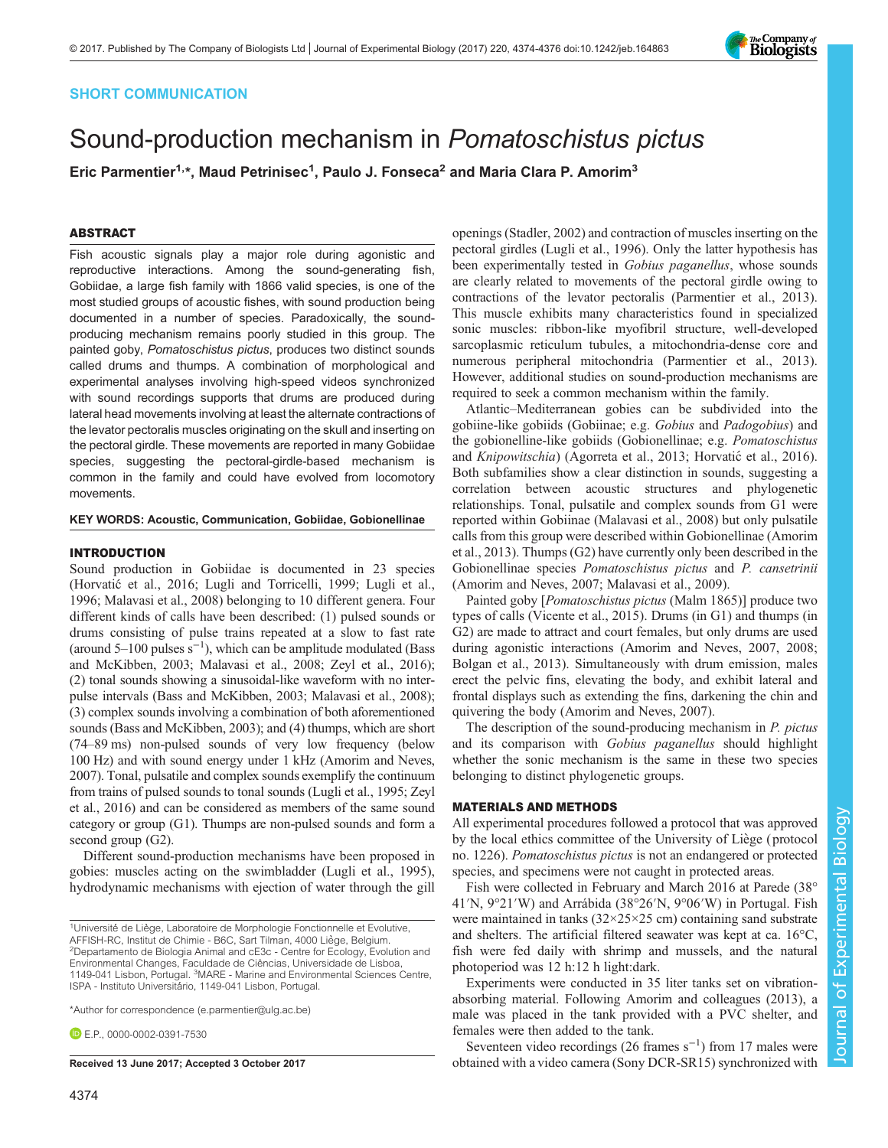

## SHORT COMMUNICATION

# Sound-production mechanism in Pomatoschistus pictus

Eric Parmentier<sup>1,</sup>\*, Maud Petrinisec<sup>1</sup>, Paulo J. Fonseca<sup>2</sup> and Maria Clara P. Amorim<sup>3</sup>

## ABSTRACT

Fish acoustic signals play a major role during agonistic and reproductive interactions. Among the sound-generating fish, Gobiidae, a large fish family with 1866 valid species, is one of the most studied groups of acoustic fishes, with sound production being documented in a number of species. Paradoxically, the soundproducing mechanism remains poorly studied in this group. The painted goby, Pomatoschistus pictus, produces two distinct sounds called drums and thumps. A combination of morphological and experimental analyses involving high-speed videos synchronized with sound recordings supports that drums are produced during lateral head movements involving at least the alternate contractions of the levator pectoralis muscles originating on the skull and inserting on the pectoral girdle. These movements are reported in many Gobiidae species, suggesting the pectoral-girdle-based mechanism is common in the family and could have evolved from locomotory movements.

#### KEY WORDS: Acoustic, Communication, Gobiidae, Gobionellinae

#### INTRODUCTION

Sound production in Gobiidae is documented in 23 species (Horvatić [et al., 2016](#page-2-0); [Lugli and Torricelli, 1999](#page-2-0); [Lugli et al.,](#page-2-0) [1996](#page-2-0); [Malavasi et al., 2008\)](#page-2-0) belonging to 10 different genera. Four different kinds of calls have been described: (1) pulsed sounds or drums consisting of pulse trains repeated at a slow to fast rate (around 5–100 pulses  $s^{-1}$ ), which can be amplitude modulated [\(Bass](#page-2-0) [and McKibben, 2003; Malavasi et al., 2008](#page-2-0); [Zeyl et al., 2016](#page-2-0)); (2) tonal sounds showing a sinusoidal-like waveform with no interpulse intervals [\(Bass and McKibben, 2003](#page-2-0); [Malavasi et al., 2008](#page-2-0)); (3) complex sounds involving a combination of both aforementioned sounds ([Bass and McKibben, 2003\)](#page-2-0); and (4) thumps, which are short (74–89 ms) non-pulsed sounds of very low frequency (below 100 Hz) and with sound energy under 1 kHz ([Amorim and Neves,](#page-2-0) [2007\)](#page-2-0). Tonal, pulsatile and complex sounds exemplify the continuum from trains of pulsed sounds to tonal sounds [\(Lugli et al., 1995](#page-2-0); [Zeyl](#page-2-0) [et al., 2016](#page-2-0)) and can be considered as members of the same sound category or group (G1). Thumps are non-pulsed sounds and form a second group (G2).

Different sound-production mechanisms have been proposed in gobies: muscles acting on the swimbladder ([Lugli et al., 1995\)](#page-2-0), hydrodynamic mechanisms with ejection of water through the gill

\*Author for correspondence [\(e.parmentier@ulg.ac.be](mailto:e.parmentier@ulg.ac.be))

**E.P.** [0000-0002-0391-7530](http://orcid.org/0000-0002-0391-7530)

openings [\(Stadler, 2002\)](#page-2-0) and contraction of muscles inserting on the pectoral girdles [\(Lugli et al., 1996](#page-2-0)). Only the latter hypothesis has been experimentally tested in Gobius paganellus, whose sounds are clearly related to movements of the pectoral girdle owing to contractions of the levator pectoralis [\(Parmentier et al., 2013\)](#page-2-0). This muscle exhibits many characteristics found in specialized sonic muscles: ribbon-like myofibril structure, well-developed sarcoplasmic reticulum tubules, a mitochondria-dense core and numerous peripheral mitochondria [\(Parmentier et al., 2013\)](#page-2-0). However, additional studies on sound-production mechanisms are required to seek a common mechanism within the family.

Atlantic–Mediterranean gobies can be subdivided into the gobiine-like gobiids (Gobiinae; e.g. Gobius and Padogobius) and the gobionelline-like gobiids (Gobionellinae; e.g. Pomatoschistus and Knipowitschia) ([Agorreta et al., 2013;](#page-2-0) Horvatić[et al., 2016\)](#page-2-0). Both subfamilies show a clear distinction in sounds, suggesting a correlation between acoustic structures and phylogenetic relationships. Tonal, pulsatile and complex sounds from G1 were reported within Gobiinae ([Malavasi et al., 2008](#page-2-0)) but only pulsatile calls from this group were described within Gobionellinae [\(Amorim](#page-2-0) [et al., 2013\)](#page-2-0). Thumps (G2) have currently only been described in the Gobionellinae species Pomatoschistus pictus and P. cansetrinii [\(Amorim and Neves, 2007](#page-2-0); [Malavasi et al., 2009](#page-2-0)).

Painted goby [Pomatoschistus pictus (Malm 1865)] produce two types of calls [\(Vicente et al., 2015](#page-2-0)). Drums (in G1) and thumps (in G2) are made to attract and court females, but only drums are used during agonistic interactions ([Amorim and Neves, 2007](#page-2-0), [2008](#page-2-0); [Bolgan et al., 2013](#page-2-0)). Simultaneously with drum emission, males erect the pelvic fins, elevating the body, and exhibit lateral and frontal displays such as extending the fins, darkening the chin and quivering the body ([Amorim and Neves, 2007\)](#page-2-0).

The description of the sound-producing mechanism in P. pictus and its comparison with Gobius paganellus should highlight whether the sonic mechanism is the same in these two species belonging to distinct phylogenetic groups.

## MATERIALS AND METHODS

All experimental procedures followed a protocol that was approved by the local ethics committee of the University of Liège (protocol no. 1226). Pomatoschistus pictus is not an endangered or protected species, and specimens were not caught in protected areas.

Fish were collected in February and March 2016 at Parede (38° 41′N, 9°21′W) and Arrábida (38°26′N, 9°06′W) in Portugal. Fish were maintained in tanks (32×25×25 cm) containing sand substrate and shelters. The artificial filtered seawater was kept at ca. 16°C, fish were fed daily with shrimp and mussels, and the natural photoperiod was 12 h:12 h light:dark.

Experiments were conducted in 35 liter tanks set on vibrationabsorbing material. Following [Amorim and colleagues \(2013\),](#page-2-0) a male was placed in the tank provided with a PVC shelter, and females were then added to the tank.

Seventeen video recordings (26 frames  $s^{-1}$ ) from 17 males were Received 13 June 2017; Accepted 3 October 2017 botained with a video camera (Sony DCR-SR15) synchronized with

<sup>&</sup>lt;sup>1</sup>Université de Liège, Laboratoire de Morphologie Fonctionnelle et Evolutive, AFFISH-RC, Institut de Chimie - B6C, Sart Tilman, 4000 Liège, Belgium. <sup>2</sup> <sup>2</sup>Departamento de Biologia Animal and cE3c - Centre for Ecology, Evolution and Environmental Changes, Faculdade de Ciências, Universidade de Lisboa, 1149-041 Lisbon, Portugal. <sup>3</sup>MARE - Marine and Environmental Sciences Centre, ISPA - Instituto Universitário, 1149-041 Lisbon, Portugal.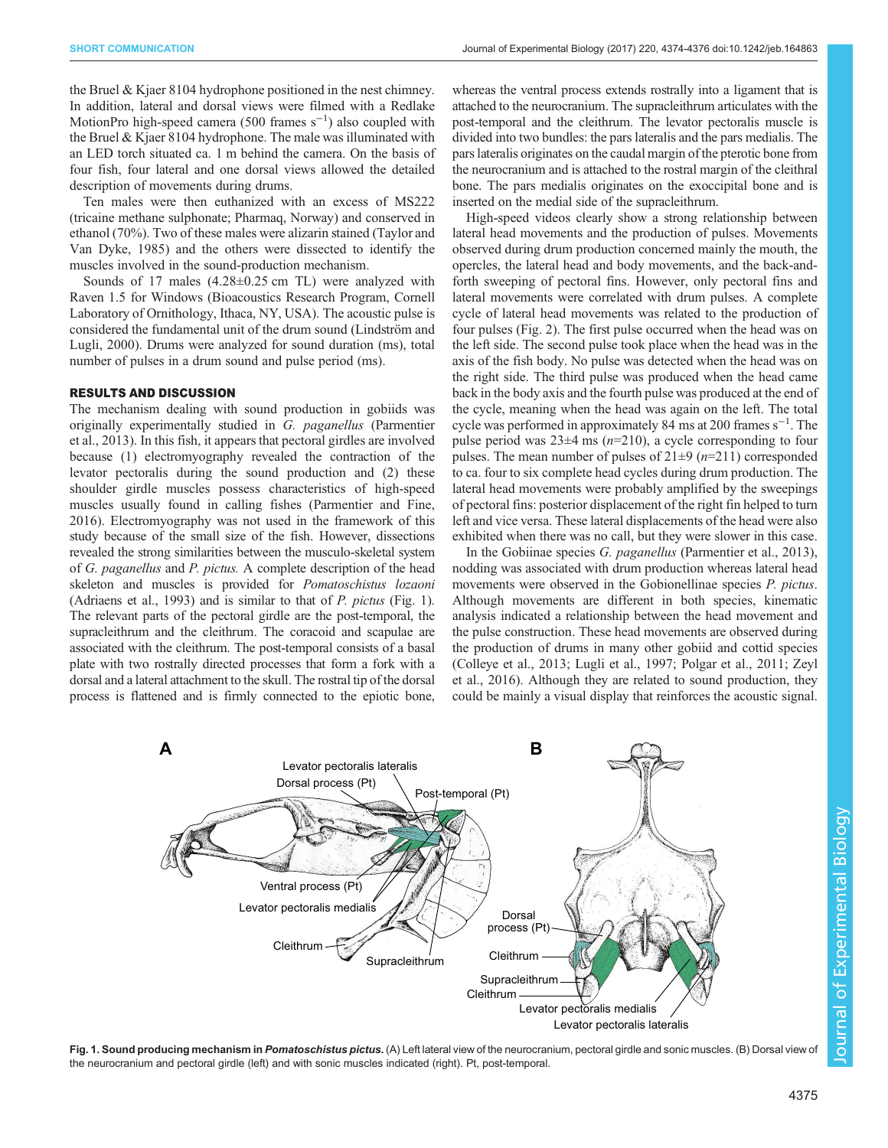the Bruel & Kjaer 8104 hydrophone positioned in the nest chimney. In addition, lateral and dorsal views were filmed with a Redlake MotionPro high-speed camera (500 frames  $s^{-1}$ ) also coupled with the Bruel & Kjaer 8104 hydrophone. The male was illuminated with an LED torch situated ca. 1 m behind the camera. On the basis of four fish, four lateral and one dorsal views allowed the detailed description of movements during drums.

Ten males were then euthanized with an excess of MS222 (tricaine methane sulphonate; Pharmaq, Norway) and conserved in ethanol (70%). Two of these males were alizarin stained ([Taylor and](#page-2-0) [Van Dyke, 1985\)](#page-2-0) and the others were dissected to identify the muscles involved in the sound-production mechanism.

Sounds of 17 males (4.28±0.25 cm TL) were analyzed with Raven 1.5 for Windows (Bioacoustics Research Program, Cornell Laboratory of Ornithology, Ithaca, NY, USA). The acoustic pulse is considered the fundamental unit of the drum sound [\(Lindström and](#page-2-0) [Lugli, 2000\)](#page-2-0). Drums were analyzed for sound duration (ms), total number of pulses in a drum sound and pulse period (ms).

## RESULTS AND DISCUSSION

The mechanism dealing with sound production in gobiids was originally experimentally studied in G. paganellus [\(Parmentier](#page-2-0) [et al., 2013](#page-2-0)). In this fish, it appears that pectoral girdles are involved because (1) electromyography revealed the contraction of the levator pectoralis during the sound production and (2) these shoulder girdle muscles possess characteristics of high-speed muscles usually found in calling fishes [\(Parmentier and Fine,](#page-2-0) [2016](#page-2-0)). Electromyography was not used in the framework of this study because of the small size of the fish. However, dissections revealed the strong similarities between the musculo-skeletal system of G. paganellus and P. pictus. A complete description of the head skeleton and muscles is provided for Pomatoschistus lozaoni [\(Adriaens et al., 1993](#page-2-0)) and is similar to that of P. pictus (Fig. 1). The relevant parts of the pectoral girdle are the post-temporal, the supracleithrum and the cleithrum. The coracoid and scapulae are associated with the cleithrum. The post-temporal consists of a basal plate with two rostrally directed processes that form a fork with a dorsal and a lateral attachment to the skull. The rostral tip of the dorsal process is flattened and is firmly connected to the epiotic bone,

whereas the ventral process extends rostrally into a ligament that is attached to the neurocranium. The supracleithrum articulates with the post-temporal and the cleithrum. The levator pectoralis muscle is divided into two bundles: the pars lateralis and the pars medialis. The pars lateralis originates on the caudal margin of the pterotic bone from the neurocranium and is attached to the rostral margin of the cleithral bone. The pars medialis originates on the exoccipital bone and is inserted on the medial side of the supracleithrum.

High-speed videos clearly show a strong relationship between lateral head movements and the production of pulses. Movements observed during drum production concerned mainly the mouth, the opercles, the lateral head and body movements, and the back-andforth sweeping of pectoral fins. However, only pectoral fins and lateral movements were correlated with drum pulses. A complete cycle of lateral head movements was related to the production of four pulses [\(Fig. 2](#page-2-0)). The first pulse occurred when the head was on the left side. The second pulse took place when the head was in the axis of the fish body. No pulse was detected when the head was on the right side. The third pulse was produced when the head came back in the body axis and the fourth pulse was produced at the end of the cycle, meaning when the head was again on the left. The total cycle was performed in approximately 84 ms at 200 frames s<sup>-1</sup>. The pulse period was  $23\pm 4$  ms ( $n=210$ ), a cycle corresponding to four pulses. The mean number of pulses of  $21\pm 9$  ( $n=211$ ) corresponded to ca. four to six complete head cycles during drum production. The lateral head movements were probably amplified by the sweepings of pectoral fins: posterior displacement of the right fin helped to turn left and vice versa. These lateral displacements of the head were also exhibited when there was no call, but they were slower in this case.

In the Gobiinae species G. paganellus [\(Parmentier et al., 2013\)](#page-2-0), nodding was associated with drum production whereas lateral head movements were observed in the Gobionellinae species *P. pictus*. Although movements are different in both species, kinematic analysis indicated a relationship between the head movement and the pulse construction. These head movements are observed during the production of drums in many other gobiid and cottid species [\(Colleye et al., 2013; Lugli et al., 1997](#page-2-0); [Polgar et al., 2011](#page-2-0); [Zeyl](#page-2-0) [et al., 2016\)](#page-2-0). Although they are related to sound production, they could be mainly a visual display that reinforces the acoustic signal.



Fig. 1. Sound producing mechanism in Pomatoschistus pictus. (A) Left lateral view of the neurocranium, pectoral girdle and sonic muscles. (B) Dorsal view of the neurocranium and pectoral girdle (left) and with sonic muscles indicated (right). Pt, post-temporal.